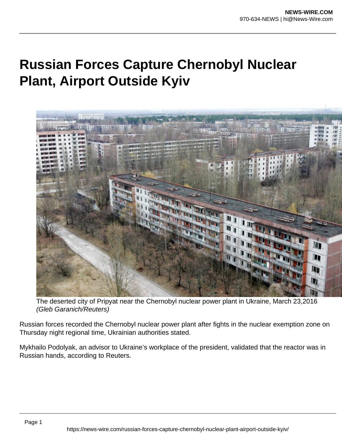## **Russian Forces Capture Chernobyl Nuclear Plant, Airport Outside Kyiv**



The deserted city of Pripyat near the Chernobyl nuclear power plant in Ukraine, March 23,2016 (Gleb Garanich/Reuters)

Russian forces recorded the Chernobyl nuclear power plant after fights in the nuclear exemption zone on Thursday night regional time, Ukrainian authorities stated.

Mykhailo Podolyak, an advisor to Ukraine's workplace of the president, validated that the reactor was in Russian hands, according to Reuters.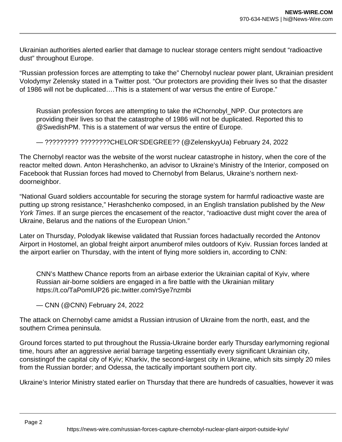Ukrainian authorities alerted earlier that damage to nuclear storage centers might sendout "radioactive dust" throughout Europe.

"Russian profession forces are attempting to take the" Chernobyl nuclear power plant, Ukrainian president Volodymyr Zelensky stated in a Twitter post. "Our protectors are providing their lives so that the disaster of 1986 will not be duplicated….This is a statement of war versus the entire of Europe."

Russian profession forces are attempting to take the #Chornobyl\_NPP. Our protectors are providing their lives so that the catastrophe of 1986 will not be duplicated. Reported this to @SwedishPM. This is a statement of war versus the entire of Europe.

— ????????? ????????CHELOR'SDEGREE?? (@ZelenskyyUa) February 24, 2022

The Chernobyl reactor was the website of the worst nuclear catastrophe in history, when the core of the reactor melted down. Anton Herashchenko, an advisor to Ukraine's Ministry of the Interior, composed on Facebook that Russian forces had moved to Chernobyl from Belarus, Ukraine's northern nextdoorneighbor.

"National Guard soldiers accountable for securing the storage system for harmful radioactive waste are putting up strong resistance," Herashchenko composed, in an English translation published by the New York Times. If an surge pierces the encasement of the reactor, "radioactive dust might cover the area of Ukraine, Belarus and the nations of the European Union."

Later on Thursday, Polodyak likewise validated that Russian forces hadactually recorded the Antonov Airport in Hostomel, an global freight airport anumberof miles outdoors of Kyiv. Russian forces landed at the airport earlier on Thursday, with the intent of flying more soldiers in, according to CNN:

CNN's Matthew Chance reports from an airbase exterior the Ukrainian capital of Kyiv, where Russian air-borne soldiers are engaged in a fire battle with the Ukrainian military https://t.co/TaPomIUP26 pic.twitter.com/rSye7nzmbi

— CNN (@CNN) February 24, 2022

The attack on Chernobyl came amidst a Russian intrusion of Ukraine from the north, east, and the southern Crimea peninsula.

Ground forces started to put throughout the Russia-Ukraine border early Thursday earlymorning regional time, hours after an aggressive aerial barrage targeting essentially every significant Ukrainian city, consistingof the capital city of Kyiv; Kharkiv, the second-largest city in Ukraine, which sits simply 20 miles from the Russian border; and Odessa, the tactically important southern port city.

Ukraine's Interior Ministry stated earlier on Thursday that there are hundreds of casualties, however it was